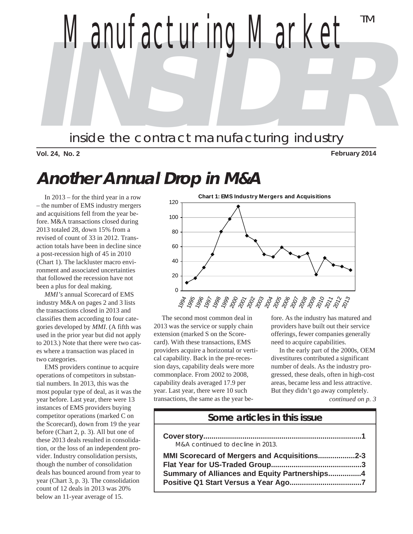

**Vol. 24, No. 2 February 2014**

# **Another Annual Drop in M&A**

 In 2013 – for the third year in a row – the number of EMS industry mergers and acquisitions fell from the year before. M&A transactions closed during 2013 totaled 28, down 15% from a revised of count of 33 in 2012. Transaction totals have been in decline since a post-recession high of 45 in 2010 (Chart 1). The lackluster macro environment and associated uncertainties that followed the recession have not been a plus for deal making.

 *MMI's* annual Scorecard of EMS industry M&A on pages 2 and 3 lists the transactions closed in 2013 and classifies them according to four categories developed by *MMI*. (A fifth was used in the prior year but did not apply to 2013.) Note that there were two cases where a transaction was placed in two categories.

 EMS providers continue to acquire operations of competitors in substantial numbers. In 2013, this was the most popular type of deal, as it was the year before. Last year, there were 13 instances of EMS providers buying competitor operations (marked C on the Scorecard), down from 19 the year before (Chart 2, p. 3). All but one of these 2013 deals resulted in consolidation, or the loss of an independent provider. Industry consolidation persists, though the number of consolidation deals has bounced around from year to year (Chart 3, p. 3). The consolidation count of 12 deals in 2013 was 20% below an 11-year average of 15.



 The second most common deal in 2013 was the service or supply chain extension (marked S on the Scorecard). With these transactions, EMS providers acquire a horizontal or vertical capability. Back in the pre-recession days, capability deals were more commonplace. From 2002 to 2008, capability deals averaged 17.9 per year. Last year, there were 10 such transactions, the same as the year before. As the industry has matured and providers have built out their service offerings, fewer companies generally need to acquire capabilities.

 In the early part of the 2000s, OEM divestitures contributed a significant number of deals. As the industry progressed, these deals, often in high-cost areas, became less and less attractive. But they didn't go away completely.

*continued on p. 3*

#### **Some articles in this issue**

| M&A continued to decline in 2013.             |  |
|-----------------------------------------------|--|
| MMI Scorecard of Mergers and Acquisitions2-3  |  |
|                                               |  |
| Summary of Alliances and Equity Partnerships4 |  |
|                                               |  |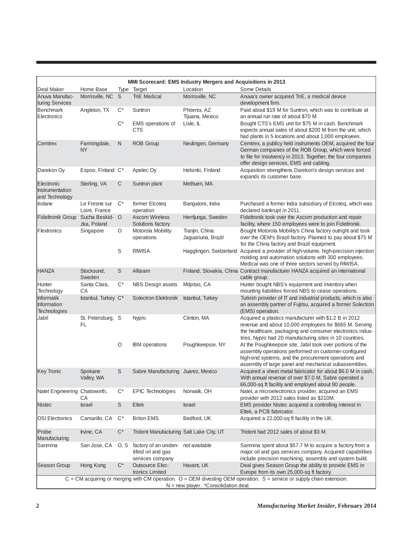|                                                                                                                                                                  |                                |                |                                                                                    | MMI Scorecard: EMS Industry Mergers and Acquisitions in 2013 |                                                                                                                                                                                                                                           |  |  |
|------------------------------------------------------------------------------------------------------------------------------------------------------------------|--------------------------------|----------------|------------------------------------------------------------------------------------|--------------------------------------------------------------|-------------------------------------------------------------------------------------------------------------------------------------------------------------------------------------------------------------------------------------------|--|--|
| Deal Maker                                                                                                                                                       | Home Base                      |                | Type Target                                                                        | Location                                                     | Some Details                                                                                                                                                                                                                              |  |  |
| Anuva Manufac-<br>turing Services                                                                                                                                | Morrisville, NC                | S              | <b>TriE Medical</b>                                                                | Morrisville, NC                                              | Anuva's owner acquired TriE, a medical device<br>development firm.                                                                                                                                                                        |  |  |
| Benchmark<br>Electronics                                                                                                                                         | Angleton, TX                   | $C^*$          | Suntron                                                                            | Phoenix, AZ<br>Tijuana, Mexico                               | Paid about \$19 M for Suntron, which was to contribute at<br>an annual run rate of about \$70 M.                                                                                                                                          |  |  |
|                                                                                                                                                                  |                                | $C^*$          | EMS operations of<br><b>CTS</b>                                                    | Lisle, IL                                                    | Bought CTS's EMS unit for \$75 M in cash. Benchmark<br>expects annual sales of about \$200 M from the unit, which                                                                                                                         |  |  |
|                                                                                                                                                                  |                                |                |                                                                                    |                                                              | had plants in 5 locations and about 1,000 employees.                                                                                                                                                                                      |  |  |
| Cemtrex                                                                                                                                                          | Farmingdale,<br><b>NY</b>      | $\mathsf{N}$   | <b>ROB Group</b>                                                                   | Neulingen, Germany                                           | Cemtrex, a publicy held instruments OEM, acquired the four<br>German companies of the ROB Group, which were forced<br>to file for insolvency in 2013. Together, the four companies<br>offer design services, EMS and cabling.             |  |  |
| Darekon Oy                                                                                                                                                       | Espoo, Finland C*              |                | Apelec Ov                                                                          | Helsinki, Finland                                            | Acquisition strengthens Darekon's design services and<br>expands its customer base.                                                                                                                                                       |  |  |
| Electronic<br>Instrumentation<br>and Technology                                                                                                                  | Sterling, VA                   | $\mathsf C$    | Suntron plant                                                                      | Methuen, MA                                                  |                                                                                                                                                                                                                                           |  |  |
| éolane                                                                                                                                                           | Le Fresne sur<br>Loire, France | $C^*$          | former Elcoteg<br>operation                                                        | Bangalore, India                                             | Purchased a former India subsidiary of Elcoteq, which was<br>declared bankrupt in 2011.                                                                                                                                                   |  |  |
| Fideltronik Group                                                                                                                                                | Sucha Beskid- O<br>zka, Poland |                | <b>Ascom Wireless</b><br>Solutions factory                                         | Herrljunga, Sweden                                           | Fideltronik took over the Ascom production and repair<br>facility, where 150 employees were to join Fideltronik.                                                                                                                          |  |  |
| Flextronics                                                                                                                                                      | Singapore                      | O              | Motorola Mobility<br>operations                                                    | Tianjin, China<br>Jaguariuna, Brazil                         | Bought Motorola Mobility's China factory outright and took<br>over the OEM's Brazil factory. Planned to pay about \$75 M<br>for the China factory and Brazil equipment.                                                                   |  |  |
|                                                                                                                                                                  |                                | S              | <b>RIWISA</b>                                                                      | Hagglingen, Switzerland                                      | Acquired a provider of high-volume, high-precision injection<br>molding and automation solutions with 300 employees.<br>Medical was one of three sectors served by RIWISA.                                                                |  |  |
| <b>HANZA</b>                                                                                                                                                     | Stocksund,<br>Sweden           | $\mathbb S$    | Alfaram                                                                            |                                                              | Finland, Slovakia, China Contract manufacturer HANZA acquired an international<br>cable group.                                                                                                                                            |  |  |
| Hunter<br>Technology                                                                                                                                             | Santa Clara,<br>СA             | $C^*$          | <b>NBS Design assets</b>                                                           | Milpitas, CA                                                 | Hunter bought NBS's equipment and inventory when<br>mounting liabilities forced NBS to cease operations.                                                                                                                                  |  |  |
| <b>Informatik</b><br>Information<br>Technologies                                                                                                                 | Istanbul, Turkey C*            |                | Solectron Elektronik                                                               | Istanbul, Turkey                                             | Turkish provider of IT and industrial products, which is also<br>an assembly partner of Fujitsu, acquired a former Solectron<br>(EMS) operation.                                                                                          |  |  |
| Jabil                                                                                                                                                            | St. Petersburg, S<br><b>FL</b> |                | Nypro                                                                              | Clinton, MA                                                  | Acquired a plastics manufacturer with \$1.2 B in 2012<br>revenue and about 10,000 employees for \$665 M. Serving<br>the healthcare, packaging and consumer electronics indus-<br>tries, Nypro had 20 manufacturing sites in 10 countries. |  |  |
|                                                                                                                                                                  |                                | $\circ$        | <b>IBM</b> operations                                                              | Poughkeepsie, NY                                             | At the Poughkeepsie site, Jabil took over portions of the<br>assembly operations performed on customer-configured<br>high-end systems, and the procurement operations and<br>assembly of large panel and mechanical subassemblies.        |  |  |
| <b>Key Tronic</b>                                                                                                                                                | Spokane<br>Valley, WA          | S              | Sabre Manufacturing Juarez, Mexico                                                 |                                                              | Acquired a sheet metal fabricator for about \$6.0 M in cash.<br>With annual revenue of over \$7.0 M, Sabre operated a<br>66,000-sq ft facility and employed about 90 people.                                                              |  |  |
| Natel Engineering Chatsworth,                                                                                                                                    | СA                             | $C^*$          | <b>EPIC Technologies</b>                                                           | Norwalk, OH                                                  | Natel, a microelectronics provider, acquired an EMS<br>provider with 2012 sales listed as \$210M.                                                                                                                                         |  |  |
| <b>Nistec</b>                                                                                                                                                    | <b>Israel</b>                  | $\mathbb S$    | Eltek                                                                              | <b>Israel</b>                                                | EMS provider Nistec acquired a controlling interest in<br>Eltek, a PCB fabricator.                                                                                                                                                        |  |  |
| <b>OSI Electronics</b>                                                                                                                                           | Camarillo, CA                  | $C^*$          | <b>Briton EMS</b>                                                                  | Bedford, UK                                                  | Acquired a 22,000-sq ft facility in the UK.                                                                                                                                                                                               |  |  |
| Probe<br>Manufacturing                                                                                                                                           | Irvine, CA                     | $\mathrm{C}^*$ | Trident Manufacturing Salt Lake City, UT                                           |                                                              | Trident had 2012 sales of about \$3 M.                                                                                                                                                                                                    |  |  |
| Sanmina                                                                                                                                                          | San Jose, CA                   |                | O, S factory of an uniden- not available<br>tified oil and gas<br>services company |                                                              | Sanmina spent about \$57.7 M to acquire a factory from a<br>major oil and gas services company. Acquired capabilities<br>include precision machining, assembly and system build.                                                          |  |  |
| Season Group                                                                                                                                                     | Hong Kong                      | $C^*$          | Outsource Elec-<br>tronics Limited                                                 | Havant, UK                                                   | Deal gives Season Group the ability to provide EMS in<br>Europe from its own 25,000-sq ft factory.                                                                                                                                        |  |  |
| C = CM acquiring or merging with CM operation. O = OEM divesting OEM operation. S = service or supply chain extension.<br>$N = new player.$ *Consolidation deal. |                                |                |                                                                                    |                                                              |                                                                                                                                                                                                                                           |  |  |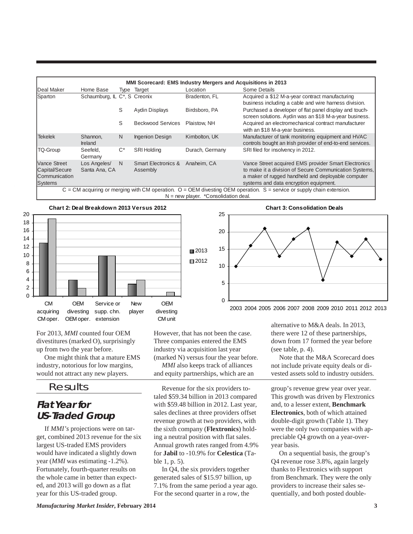| Home Base                     |              |                                            | Location                                    | Some Details                                                                                                                                                                                                   |
|-------------------------------|--------------|--------------------------------------------|---------------------------------------------|----------------------------------------------------------------------------------------------------------------------------------------------------------------------------------------------------------------|
|                               |              |                                            | Bradenton, FL                               | Acquired a \$12 M-a-year contract manufacturing<br>business including a cable and wire harness division.                                                                                                       |
|                               | S            | <b>Aydin Displays</b>                      | Birdsboro, PA                               | Purchased a developer of flat panel display and touch-<br>screen solutions. Aydin was an \$18 M-a-year business.                                                                                               |
|                               | S            | <b>Beckwood Services</b>                   | Plaistow. NH                                | Acquired an electromechanical contract manufacturer<br>with an \$18 M-a-year business.                                                                                                                         |
| Shannon.<br><b>Ireland</b>    | N.           | <b>Ingenion Design</b>                     | Kimbolton, UK                               | Manufacturer of tank monitoring equipment and HVAC<br>controls bought an Irish provider of end-to-end services.                                                                                                |
| Seefeld.<br>Germany           | $C^*$        | <b>SRI Holding</b>                         | Durach, Germany                             | SRI filed for insolvency in 2012.                                                                                                                                                                              |
| Los Angeles/<br>Santa Ana, CA | <sup>N</sup> | <b>Smart Electronics &amp;</b><br>Assembly | Anaheim, CA                                 | Vance Street acquired EMS provider Smart Electronics<br>to make it a division of Secure Communication Systems,<br>a maker of rugged handheld and deployable computer<br>systems and data encryption equipment. |
|                               |              |                                            | Type Target<br>Schaumburg, IL C*, S Creonix | <b>MMI Scorecard: EMS Industry Mergers and Acquisitions in 2013</b><br>$C = CM$ acquiring or merging with CM operation. $O = OEM$ divesting OEM operation. S = service or supply chain extension.              |

 $N = new$  player. \*Consolidation deal

■2013  $2012$ 

10

15

20

25





**Chart 3: Consolidation Deals**

 $\Omega$ 5 2003 2004 2005 2006 2007 2008 2009 2010 2011 2012 2013

For 2013, *MMI* counted four OEM divestitures (marked O), surprisingly up from two the year before.

 One might think that a mature EMS industry, notorious for low margins, would not attract any new players.

### Results

# **Flat Year for US-Traded Group**

 If *MMI's* projections were on target, combined 2013 revenue for the six largest US-traded EMS providers would have indicated a slightly down year (*MMI* was estimating -1.2%). Fortunately, fourth-quarter results on the whole came in better than expected, and 2013 will go down as a flat year for this US-traded group.

However, that has not been the case. Three companies entered the EMS industry via acquisition last year (marked N) versus four the year before.

 *MMI* also keeps track of alliances and equity partnerships, which are an

 Revenue for the six providers totaled \$59.34 billion in 2013 compared with \$59.48 billion in 2012. Last year, sales declines at three providers offset revenue growth at two providers, with the sixth company (**Flextronics**) holding a neutral position with flat sales. Annual growth rates ranged from 4.9% for **Jabil** to -10.9% for **Celestica** (Table 1, p. 5).

 In Q4, the six providers together generated sales of \$15.97 billion, up 7.1% from the same period a year ago. For the second quarter in a row, the

alternative to M&A deals. In 2013, there were 12 of these partnerships, down from 17 formed the year before (see table, p. 4).

 Note that the M&A Scorecard does not include private equity deals or divested assets sold to industry outsiders.

group's revenue grew year over year. This growth was driven by Flextronics and, to a lesser extent, **Benchmark Electronics**, both of which attained double-digit growth (Table 1). They were the only two companies with appreciable Q4 growth on a year-overyear basis.

 On a sequential basis, the group's Q4 revenue rose 3.8%, again largely thanks to Flextronics with support from Benchmark. They were the only providers to increase their sales sequentially, and both posted double-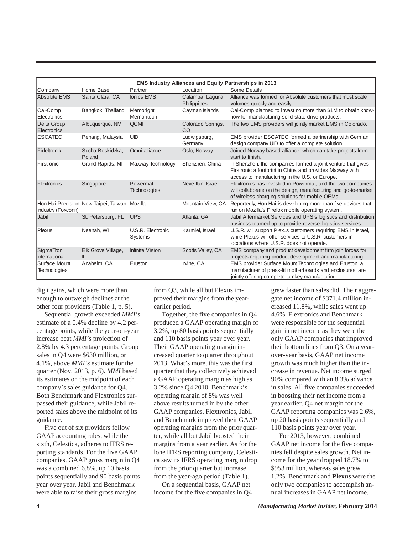|                                       |                                              |                                     |                                 | <b>EMS Industry Alliances and Equity Partnerships in 2013</b>                                                                                                                    |
|---------------------------------------|----------------------------------------------|-------------------------------------|---------------------------------|----------------------------------------------------------------------------------------------------------------------------------------------------------------------------------|
| Company                               | Home Base                                    | Partner                             | Location                        | Some Details                                                                                                                                                                     |
| Absolute EMS                          | Santa Clara, CA                              | <b>lonics EMS</b>                   | Calamba, Laguna,<br>Philippines | Alliance was formed for Absolute customers that must scale<br>volumes quickly and easily.                                                                                        |
| Cal-Comp<br>Electronics               | Bangkok, Thailand                            | Memoright<br>Memoritech             | Cayman Islands                  | Cal-Comp planned to invest no more than \$1M to obtain know-<br>how for manufacturing solid state drive products.                                                                |
| Delta Group<br>Electronics            | Albuquerque, NM                              | <b>QCMI</b>                         | Colorado Springs,<br>CO         | The two EMS providers will jointly market EMS in Colorado.                                                                                                                       |
| <b>ESCATEC</b>                        | Penang, Malaysia                             | UID                                 | Ludwigsburg,<br>Germany         | EMS provider ESCATEC formed a partnership with German<br>design company UID to offer a complete solution.                                                                        |
| Fideltronik                           | Sucha Beskidzka,<br>Poland                   | Omni alliance                       | Oslo, Norway                    | Joined Norway-based alliance, which can take projects from<br>start to finish.                                                                                                   |
| <b>IFirstronic</b>                    | Grand Rapids, MI                             | Maxway Technology                   | Shenzhen, China                 | In Shenzhen, the companies formed a joint venture that gives<br>Firstronic a footprint in China and provides Maxway with<br>access to manufacturing in the U.S. or Europe.       |
| Flextronics                           | Singapore                                    | Powermat<br>Technologies            | Neve Ilan, Israel               | Flextronics has invested in Powermat, and the two companies<br>will collaborate on the design, manufacturing and go-to-market<br>of wireless charging solutions for mobile OEMs. |
| Industry (Foxconn)                    | Hon Hai Precision New Taipei, Taiwan Mozilla |                                     | Mountain View, CA               | Reportedly, Hon Hai is developing more than five devices that<br>run on Mozilla's Firefox mobile operating system.                                                               |
| Jabil                                 | St. Petersburg, FL                           | <b>UPS</b>                          | Atlanta, GA                     | Jabil Aftermarket Services and UPS's logistics and distribution<br>business teamed up to provide reverse logistics services.                                                     |
| Plexus                                | Neenah, WI                                   | U.S.R. Electronic<br><b>Systems</b> | Karmiel, Israel                 | U.S.R. will support Plexus customers requiring EMS in Israel,<br>while Plexus will offer services to U.S.R. customers in<br>loccations where U.S.R. does not operate.            |
| SigmaTron<br>International            | Elk Grove Village,<br>IL                     | Infinite Vision                     | Scotts Valley, CA               | EMS company and product development firm join forces for<br>projects requiring product development and manufacturing.                                                            |
| <b>ISurface Mount</b><br>Technologies | Anaheim, CA                                  | Eruston                             | Irvine, CA                      | EMS provider Surface Mount Technologies and Eruston, a<br>manufacturer of press-fit motherboards and enclosures, are<br>jointly offering complete turnkey manufacturing.         |

digit gains, which were more than enough to outweigh declines at the other four providers (Table 1, p. 5).

 Sequential growth exceeded *MMI's* estimate of a 0.4% decline by 4.2 percentage points, while the year-on-year increase beat *MMI's* projection of 2.8% by 4.3 percentage points. Group sales in Q4 were \$630 million, or 4.1%, above *MMI's* estimate for the quarter (Nov. 2013, p. 6). *MMI* based its estimates on the midpoint of each company's sales guidance for Q4. Both Benchmark and Flextronics surpassed their guidance, while Jabil reported sales above the midpoint of its guidance.

 Five out of six providers follow GAAP accounting rules, while the sixth, Celestica, adheres to IFRS reporting standards. For the five GAAP companies, GAAP gross margin in Q4 was a combined 6.8%, up 10 basis points sequentially and 90 basis points year over year. Jabil and Benchmark were able to raise their gross margins

from Q3, while all but Plexus improved their margins from the yearearlier period.

 Together, the five companies in Q4 produced a GAAP operating margin of 3.2%, up 80 basis points sequentially and 110 basis points year over year. Their GAAP operating margin increased quarter to quarter throughout 2013. What's more, this was the first quarter that they collectively achieved a GAAP operating margin as high as 3.2% since Q4 2010. Benchmark's operating margin of 8% was well above results turned in by the other GAAP companies. Flextronics, Jabil and Benchmark improved their GAAP operating margins from the prior quarter, while all but Jabil boosted their margins from a year earlier. As for the lone IFRS reporting company, Celestica saw its IFRS operating margin drop from the prior quarter but increase from the year-ago period (Table 1).

 On a sequential basis, GAAP net income for the five companies in Q4 grew faster than sales did. Their aggregate net income of \$371.4 million increased 11.8%, while sales went up 4.6%. Flextronics and Benchmark were responsible for the sequential gain in net income as they were the only GAAP companies that improved their bottom lines from Q3. On a yearover-year basis, GAAP net income growth was much higher than the increase in revenue. Net income surged 90% compared with an 8.3% advance in sales. All five companies succeeded in boosting their net income from a year earlier. Q4 net margin for the GAAP reporting companies was 2.6%, up 20 basis points sequentially and 110 basis points year over year.

 For 2013, however, combined GAAP net income for the five companies fell despite sales growth. Net income for the year dropped 18.7% to \$953 million, whereas sales grew 1.2%. Benchmark and **Plexus** were the only two companies to accomplish annual increases in GAAP net income.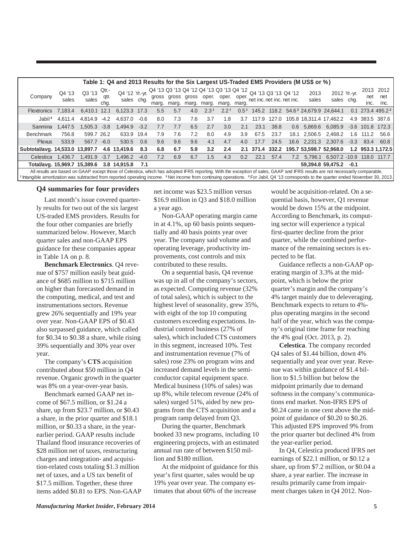|                                 |                                                                                                                                                                                                                                                                                                                                                                                                             |                 |                       | Table 1: Q4 and 2013 Results for the Six Largest US-Traded EMS Providers (M US\$ or %) |        |                                                                |                                                    |             |                  |                  |                  |                            |       |     |               |                                                 |        |                     |                              |
|---------------------------------|-------------------------------------------------------------------------------------------------------------------------------------------------------------------------------------------------------------------------------------------------------------------------------------------------------------------------------------------------------------------------------------------------------------|-----------------|-----------------------|----------------------------------------------------------------------------------------|--------|----------------------------------------------------------------|----------------------------------------------------|-------------|------------------|------------------|------------------|----------------------------|-------|-----|---------------|-------------------------------------------------|--------|---------------------|------------------------------|
| Company                         | Q4 '13<br>sales                                                                                                                                                                                                                                                                                                                                                                                             | Q3 '13<br>sales | Qtr.-<br>qtr.<br>cha. | Q4 '12 Yr.-yr.<br>sales chq.                                                           |        | Q4 '13 Q3 '13 Q4 '12 Q4 '13 Q3 '13 Q4 '12 Q4 '13 Q3 '13 Q4 '12 | gross gross gross oper. oper. oper.<br>marg. marg. | marg. marg. |                  | marg.            | marg.            | net inc. net inc. net inc. |       |     | 2013<br>sales | 2012 Yr.-yr.<br>sales chg.                      |        | 2013<br>net<br>inc. | 2012<br>net<br>inc.          |
| <b>Flextronics</b>              | 7.183.4                                                                                                                                                                                                                                                                                                                                                                                                     | 6.410.1 12.1    |                       | 6,123.3 17.3                                                                           |        | 5.5                                                            | 5.7                                                | 4.0         | 2.3 <sup>1</sup> | 2.2 <sup>1</sup> | 0.5 <sup>1</sup> |                            |       |     |               | 145.2 118.2 54.6 <sup>2</sup> 24,679.9 24,644.1 |        |                     | 0.1 273.4 495.2 <sup>2</sup> |
| Jabil <sup>3</sup>              | 4,611.4                                                                                                                                                                                                                                                                                                                                                                                                     | 4,814.9         | $-4.2$                | 4,637.0                                                                                | $-0.6$ | 8.0                                                            | 7.3                                                | 7.6         | 3.7              | 1.8              | 3.7              | 117.9                      | 127.0 |     |               | 105.8 18,311.4 17,462.2                         |        |                     | 4.9 383.5 387.6              |
| Sanmina                         | 1.447.5                                                                                                                                                                                                                                                                                                                                                                                                     | $1,505.3 -3.8$  |                       | $1.494.9 - 3.2$                                                                        |        | 7.7                                                            | 7.7                                                | 6.5         | 2.7              | 3.0              | 2.1              | 23.1                       | 38.8  |     | 0.6 5,869.6   | 6,085.9                                         |        | $-3.6$ 101.8 172.3  |                              |
| <b>Benchmark</b>                | 756.8                                                                                                                                                                                                                                                                                                                                                                                                       | 599.7 26.2      |                       | 633.9 19.4                                                                             |        | 7.9                                                            | 7.6                                                | 7.2         | 8.0              | 4.9              | 3.9              | 67.5                       | 23.7  |     |               | 18.1 2,506.5 2,468.2                            | 1.6    | 111.2               | 56.6                         |
| <b>Plexus</b>                   | 533.9                                                                                                                                                                                                                                                                                                                                                                                                       | 567.7 -6.0      |                       | 530.5                                                                                  | 0.6    | 9.6                                                            | 9.6                                                | 9.6         | 4.1              | 4.7              | 4.0              | 17.7                       | 24.5  |     | 16.6 2,231.3  | 2,307.6                                         | $-3.3$ | 83.4                | 60.8                         |
| Subtotal/avg. 14,533.0 13,897.7 |                                                                                                                                                                                                                                                                                                                                                                                                             |                 |                       | 4.6 13,419.6 8.3                                                                       |        | 6.8                                                            | 6.7                                                | 5.9         | 3.2              | 2.4              |                  | 2.1 371.4 332.2            |       |     |               | 195.7 53,598.7 52,968.0                         |        |                     | 1.2 953.3 1.172.5            |
| Celestica                       | 1.436.7                                                                                                                                                                                                                                                                                                                                                                                                     | 1.491.9 -3.7    |                       | 1.496.2                                                                                | $-4.0$ | 7.2                                                            | 6.9                                                | 6.7         | 1.5              | 4.3              | 0.2              | 22.1                       | 57.4  | 7.2 |               | 5,796.1 6,507.2 -10.9 118.0 117.7               |        |                     |                              |
| Total/avg. 15,969.7 15,389.6    |                                                                                                                                                                                                                                                                                                                                                                                                             |                 |                       | 3.8 14.915.8                                                                           | - 7.1  |                                                                |                                                    |             |                  |                  |                  |                            |       |     |               | 59,394.8 59,475.2                               | $-0.1$ |                     |                              |
|                                 | All results are based on GAAP except those of Celestica, which has adopted IFRS reporting. With the exception of sales, GAAP and IFRS results are not necessarily comparable.<br><sup>1</sup> Intangible amortization was subtracted from reported operating income. <sup>2</sup> Net income from continuing operations. <sup>3</sup> For Jabil, Q4 '13 corresponds to the quarter ended November 30, 2013. |                 |                       |                                                                                        |        |                                                                |                                                    |             |                  |                  |                  |                            |       |     |               |                                                 |        |                     |                              |

**Q4 summaries for four providers**

 Last month's issue covered quarterly results for two out of the six largest US-traded EMS providers. Results for the four other companies are briefly summarized below. However, March quarter sales and non-GAAP EPS guidance for these companies appear in Table 1A on p. 8.

 **Benchmark Electronics**. Q4 revenue of \$757 million easily beat guidance of \$685 million to \$715 million on higher than forecasted demand in the computing, medical, and test and instrumentations sectors. Revenue grew 26% sequentially and 19% year over year. Non-GAAP EPS of \$0.43 also surpassed guidance, which called for \$0.34 to \$0.38 a share, while rising 39% sequentially and 30% year over year.

 The company's **CTS** acquisition contributed about \$50 million in Q4 revenue. Organic growth in the quarter was 8% on a year-over-year basis.

 Benchmark earned GAAP net income of \$67.5 million, or \$1.24 a share, up from \$23.7 million, or \$0.43 a share, in the prior quarter and \$18.1 million, or \$0.33 a share, in the yearearlier period. GAAP results include Thailand flood insurance recoveries of \$28 million net of taxes, restructuring charges and integration- and acquisition-related costs totaling \$1.3 million net of taxes, and a US tax benefit of \$17.5 million. Together, these three items added \$0.81 to EPS. Non-GAAP

net income was \$23.5 million versus \$16.9 million in Q3 and \$18.0 million a year ago.

 Non-GAAP operating margin came in at 4.1%, up 60 basis points sequentially and 40 basis points year over year. The company said volume and operating leverage, productivity improvements, cost controls and mix contributed to these results.

 On a sequential basis, Q4 revenue was up in all of the company's sectors, as expected. Computing revenue (32% of total sales), which is subject to the highest level of seasonality, grew 35%, with eight of the top 10 computing customers exceeding expectations. Industrial control business (27% of sales), which included CTS customers in this segment, increased 10%. Test and instrumentation revenue (7% of sales) rose 23% on program wins and increased demand levels in the semiconductor capital equipment space. Medical business (10% of sales) was up 8%, while telecom revenue (24% of sales) surged 51%, aided by new programs from the CTS acquisition and a program ramp delayed from Q3.

 During the quarter, Benchmark booked 33 new programs, including 10 engineering projects, with an estimated annual run rate of between \$150 million and \$180 million.

 At the midpoint of guidance for this year's first quarter, sales would be up 19% year over year. The company estimates that about 60% of the increase

would be acquisition-related. On a sequential basis, however, Q1 revenue would be down 15% at the midpoint. According to Benchmark, its computing sector will experience a typical first-quarter decline from the prior quarter, while the combined performance of the remaining sectors is expected to be flat.

 Guidance reflects a non-GAAP operating margin of 3.3% at the midpoint, which is below the prior quarter's margin and the company's 4% target mainly due to deleveraging. Benchmark expects to return to 4% plus operating margins in the second half of the year, which was the company's original time frame for reaching the 4% goal (Oct. 2013, p. 2).

 **Celestica**. The company recorded Q4 sales of \$1.44 billion, down 4% sequentially and year over year. Revenue was within guidance of \$1.4 billion to \$1.5 billion but below the midpoint primarily due to demand softness in the company's communications end market. Non-IFRS EPS of \$0.24 came in one cent above the midpoint of guidance of \$0.20 to \$0.26. This adjusted EPS improved 9% from the prior quarter but declined 4% from the year-earlier period.

 In Q4, Celestica produced IFRS net earnings of \$22.1 million, or \$0.12 a share, up from \$7.2 million, or \$0.04 a share, a year earlier. The increase in results primarily came from impairment charges taken in Q4 2012. Non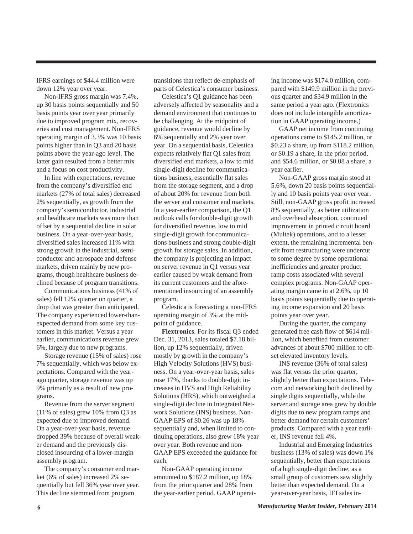IFRS earnings of \$44.4 million were down 12% year over year.

 Non-IFRS gross margin was 7.4%, up 30 basis points sequentially and 50 basis points year over year primarily due to improved program mix, recoveries and cost management. Non-IFRS operating margin of 3.3% was 10 basis points higher than in Q3 and 20 basis points above the year-ago level. The latter gain resulted from a better mix and a focus on cost productivity.

 In line with expectations, revenue from the company's diversified end markets (27% of total sales) decreased 2% sequentially, as growth from the company's semiconductor, industrial and healthcare markets was more than offset by a sequential decline in solar business. On a year-over-year basis, diversified sales increased 11% with strong growth in the industrial, semiconductor and aerospace and defense markets, driven mainly by new programs, though healthcare business declined because of program transitions.

 Communications business (41% of sales) fell 12% quarter on quarter, a drop that was greater than anticipated. The company experienced lower-thanexpected demand from some key customers in this market. Versus a year earlier, communications revenue grew 6%, largely due to new programs.

 Storage revenue (15% of sales) rose 7% sequentially, which was below expectations. Compared with the yearago quarter, storage revenue was up 9% primarily as a result of new programs.

 Revenue from the server segment (11% of sales) grew 10% from Q3 as expected due to improved demand. On a year-over-year basis, revenue dropped 39% because of overall weaker demand and the previously disclosed insourcing of a lower-margin assembly program.

 The company's consumer end market (6% of sales) increased 2% sequentially but fell 36% year over year. This decline stemmed from program

transitions that reflect de-emphasis of parts of Celestica's consumer business.

 Celestica's Q1 guidance has been adversely affected by seasonality and a demand environment that continues to be challenging. At the midpoint of guidance, revenue would decline by 6% sequentially and 2% year over year. On a sequential basis, Celestica expects relatively flat Q1 sales from diversified end markets, a low to mid single-digit decline for communications business, essentially flat sales from the storage segment, and a drop of about 20% for revenue from both the server and consumer end markets. In a year-earlier comparison, the Q1 outlook calls for double-digit growth for diversified revenue, low to mid single-digit growth for communications business and strong double-digit growth for storage sales. In addition, the company is projecting an impact on server revenue in Q1 versus year earlier caused by weak demand from its current customers and the aforementioned insourcing of an assembly program.

 Celestica is forecasting a non-IFRS operating margin of 3% at the midpoint of guidance.

 **Flextronics**. For its fiscal Q3 ended Dec. 31, 2013, sales totaled \$7.18 billion, up 12% sequentially, driven mostly by growth in the company's High Velocity Solutions (HVS) business. On a year-over-year basis, sales rose 17%, thanks to double-digit increases in HVS and High Reliability Solutions (HRS), which outweighed a single-digit decline in Integrated Network Solutions (INS) business. Non-GAAP EPS of \$0.26 was up 18% sequentially and, when limited to continuing operations, also grew 18% year over year. Both revenue and non-GAAP EPS exceeded the guidance for each.

 Non-GAAP operating income amounted to \$187.2 million, up 18% from the prior quarter and 28% from the year-earlier period. GAAP operating income was \$174.0 million, compared with \$149.9 million in the previous quarter and \$34.9 million in the same period a year ago. (Flextronics does not include intangible amortization in GAAP operating income.)

 GAAP net income from continuing operations came to \$145.2 million, or \$0.23 a share, up from \$118.2 million, or \$0.19 a share, in the prior period, and \$54.6 million, or \$0.08 a share, a year earlier.

 Non-GAAP gross margin stood at 5.6%, down 20 basis points sequentially and 10 basis points year over year. Still, non-GAAP gross profit increased 8% sequentially, as better utilization and overhead absorption, continued improvement in printed circuit board (Multek) operations, and to a lesser extent, the remaining incremental benefit from restructuring were undercut to some degree by some operational inefficiencies and greater product ramp costs associated with several complex programs. Non-GAAP operating margin came in at 2.6%, up 10 basis points sequentially due to operating income expansion and 20 basis points year over year.

 During the quarter, the company generated free cash flow of \$614 million, which benefited from customer advances of about \$700 million to offset elevated inventory levels.

 INS revenue (36% of total sales) was flat versus the prior quarter, slightly better than expectations. Telecom and networking both declined by single digits sequentially, while the server and storage area grew by double digits due to new program ramps and better demand for certain customers' products. Compared with a year earlier, INS revenue fell 4%.

 Industrial and Emerging Industries business (13% of sales) was down 1% sequentially, better than expectations of a high single-digit decline, as a small group of customers saw slightly better than expected demand. On a year-over-year basis, IEI sales in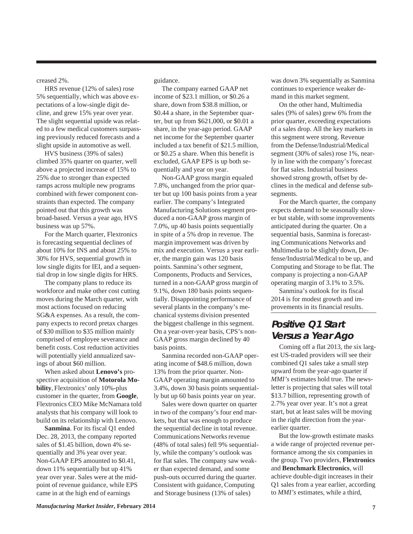creased 2%.

 HRS revenue (12% of sales) rose 5% sequentially, which was above expectations of a low-single digit decline, and grew 15% year over year. The slight sequential upside was related to a few medical customers surpassing previously reduced forecasts and a slight upside in automotive as well.

 HVS business (39% of sales) climbed 35% quarter on quarter, well above a projected increase of 15% to 25% due to stronger than expected ramps across multiple new programs combined with fewer component constraints than expected. The company pointed out that this growth was broad-based. Versus a year ago, HVS business was up 57%.

For the March quarter, Flextronics is forecasting sequential declines of about 10% for INS and about 25% to 30% for HVS, sequential growth in low single digits for IEI, and a sequential drop in low single digits for HRS.

 The company plans to reduce its workforce and make other cost cutting moves during the March quarter, with most actions focused on reducing SG&A expenses. As a result, the company expects to record pretax charges of \$30 million to \$35 million mainly comprised of employee severance and benefit costs. Cost reduction activities will potentially yield annualized savings of about \$60 million.

 When asked about **Lenovo's** prospective acquisition of **Motorola Mobility**, Flextronics' only 10%-plus customer in the quarter, from **Google**, Flextronics CEO Mike McNamara told analysts that his company will look to build on its relationship with Lenovo.

 **Sanmina**. For its fiscal Q1 ended Dec. 28, 2013, the company reported sales of \$1.45 billion, down 4% sequentially and 3% year over year. Non-GAAP EPS amounted to \$0.41, down 11% sequentially but up 41% year over year. Sales were at the midpoint of revenue guidance, while EPS came in at the high end of earnings

guidance.

 The company earned GAAP net income of \$23.1 million, or \$0.26 a share, down from \$38.8 million, or \$0.44 a share, in the September quarter, but up from \$621,000, or \$0.01 a share, in the year-ago period. GAAP net income for the September quarter included a tax benefit of \$21.5 million, or \$0.25 a share. When this benefit is excluded, GAAP EPS is up both sequentially and year on year.

 Non-GAAP gross margin equaled 7.8%, unchanged from the prior quarter but up 100 basis points from a year earlier. The company's Integrated Manufacturing Solutions segment produced a non-GAAP gross margin of 7.0%, up 40 basis points sequentially in spite of a 5% drop in revenue. The margin improvement was driven by mix and execution. Versus a year earlier, the margin gain was 120 basis points. Sanmina's other segment, Components, Products and Services, turned in a non-GAAP gross margin of 9.1%, down 180 basis points sequentially. Disappointing performance of several plants in the company's mechanical systems division presented the biggest challenge in this segment. On a year-over-year basis, CPS's non-GAAP gross margin declined by 40 basis points.

 Sanmina recorded non-GAAP operating income of \$48.6 million, down 13% from the prior quarter. Non-GAAP operating margin amounted to 3.4%, down 30 basis points sequentially but up 60 basis points year on year.

 Sales were down quarter on quarter in two of the company's four end markets, but that was enough to produce the sequential decline in total revenue. Communications Networks revenue (48% of total sales) fell 9% sequentially, while the company's outlook was for flat sales. The company saw weaker than expected demand, and some push-outs occurred during the quarter. Consistent with guidance, Computing and Storage business (13% of sales)

was down 3% sequentially as Sanmina continues to experience weaker demand in this market segment.

 On the other hand, Multimedia sales (9% of sales) grew 6% from the prior quarter, exceeding expectations of a sales drop. All the key markets in this segment were strong. Revenue from the Defense/Industrial/Medical segment (30% of sales) rose 1%, nearly in line with the company's forecast for flat sales. Industrial business showed strong growth, offset by declines in the medical and defense subsegments.

 For the March quarter, the company expects demand to be seasonally slower but stable, with some improvements anticipated during the quarter. On a sequential basis, Sanmina is forecasting Communications Networks and Multimedia to be slightly down, Defense/Industrial/Medical to be up, and Computing and Storage to be flat. The company is projecting a non-GAAP operating margin of 3.1% to 3.5%.

 Sanmina's outlook for its fiscal 2014 is for modest growth and improvements in its financial results.

## **Positive Q1 Start Versus a Year Ago**

 Coming off a flat 2013, the six largest US-traded providers will see their combined Q1 sales take a small step upward from the year-ago quarter if *MMI's* estimates hold true. The newsletter is projecting that sales will total \$13.7 billion, representing growth of 2.7% year over year. It's not a great start, but at least sales will be moving in the right direction from the yearearlier quarter.

 But the low-growth estimate masks a wide range of projected revenue performance among the six companies in the group. Two providers, **Flextronics** and **Benchmark Electronics**, will achieve double-digit increases in their Q1 sales from a year earlier, according to *MMI's* estimates, while a third,